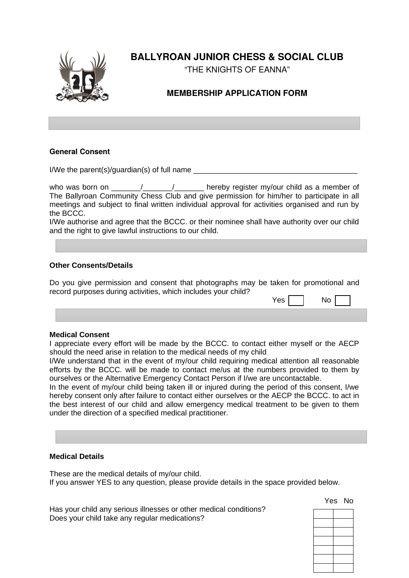

# **BALLYROAN JUNIOR CHESS & SOCIAL CLUB**

"THE KNIGHTS OF EANNA"

## **MEMBERSHIP APPLICATION FORM**

#### **General Consent**

I/We the parent(s)/quardian(s) of full name

who was born on  $\frac{1}{2}$   $\frac{1}{2}$  hereby register my/our child as a member of The Ballyroan Community Chess Club and give permission for him/her to participate in all meetings and subject to final written individual approval for activities organised and run by the BCCC.

I/We authorise and agree that the BCCC. or their nominee shall have authority over our child and the right to give lawful instructions to our child.

#### **Other Consents/Details**

Do you give permission and consent that photographs may be taken for promotional and record purposes during activities, which includes your child?

| Y.<br>es | N٥ |
|----------|----|
|----------|----|

#### **Medical Consent**

I appreciate every effort will be made by the BCCC. to contact either myself or the AECP should the need arise in relation to the medical needs of my child

I/We understand that in the event of my/our child requiring medical attention all reasonable efforts by the BCCC. will be made to contact me/us at the numbers provided to them by ourselves or the Alternative Emergency Contact Person if I/we are uncontactable.

In the event of my/our child being taken ill or injured during the period of this consent, I/we hereby consent only after failure to contact either ourselves or the AECP the BCCC. to act in the best interest of our child and allow emergency medical treatment to be given to them under the direction of a specified medical practitioner.

#### **Medical Details**

These are the medical details of my/our child. If you answer YES to any question, please provide details in the space provided below.

Yes No

Has your child any serious illnesses or other medical conditions? Does your child take any regular medications?

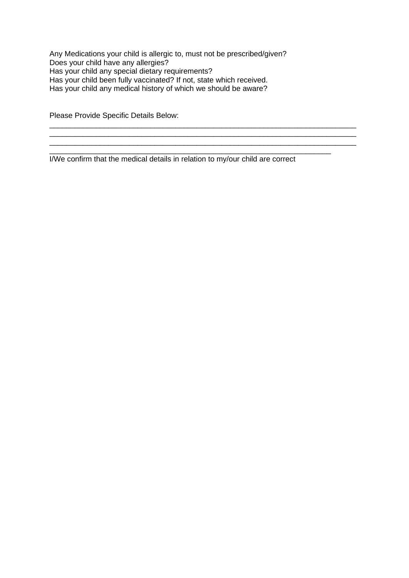Any Medications your child is allergic to, must not be prescribed/given? Does your child have any allergies? Has your child any special dietary requirements? Has your child been fully vaccinated? If not, state which received. Has your child any medical history of which we should be aware?

Please Provide Specific Details Below:

I/We confirm that the medical details in relation to my/our child are correct

 $\mathcal{L}_\text{max}$  and  $\mathcal{L}_\text{max}$  and  $\mathcal{L}_\text{max}$  and  $\mathcal{L}_\text{max}$  and  $\mathcal{L}_\text{max}$  and  $\mathcal{L}_\text{max}$ 

 $\mathcal{L}_\text{max}$  and  $\mathcal{L}_\text{max}$  and  $\mathcal{L}_\text{max}$  and  $\mathcal{L}_\text{max}$  and  $\mathcal{L}_\text{max}$  and  $\mathcal{L}_\text{max}$ 

 $\mathcal{L}_\text{max}$  and  $\mathcal{L}_\text{max}$  and  $\mathcal{L}_\text{max}$  and  $\mathcal{L}_\text{max}$  and  $\mathcal{L}_\text{max}$  and  $\mathcal{L}_\text{max}$